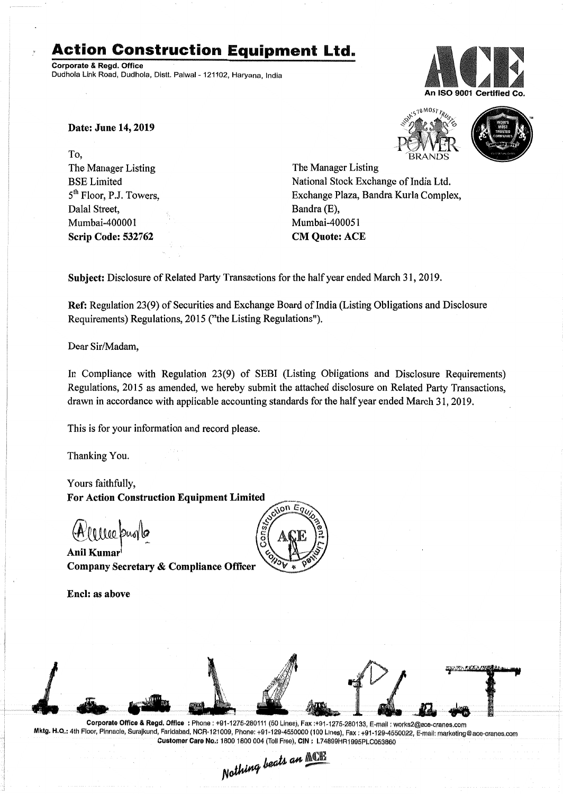# **Action Construction Equipment Ltd.**

Corporate & Regd. Office Dudhola Link Road, Dudhola, Distt. Palwal- 121102, Haryana, India



Date: June 14, 2019

To, The Manager Listing .BSE Limited 5<sup>th</sup> Floor, P.J. Towers, Dalal Street, Mumbai-400001 Scrip Code: 532762





The Manager Listing National Stock Exchange of India Ltd. Exchange Plaza, Bandra Kurla Complex, Bandra (E), Mumbai-400051 CM Quote: ACE

Subject: Disclosure of Related Party Transactions for the half year ended March 31, 2019.

Ref: Regulation 23(9) of Securities and Exchange Board of India (Listing Obligations and Disclosure Requirements) Regulations, 2015 ("the Listing Regulations").

Dear Sir/Madam,

In Compliance with Regulation 23(9) of SEBI (Listing Obligations and Disclosure Requirements) Regulations, 2015 as amended, we hereby submit the attached disclosure on Related Party Transactions, drawn in accordance with applicable accounting standards for the half year ended March 31, 2019.

This is for your information and record please.

Thanking You.

Yours faithfully, **For Action Construction Equipment Limited** 

@tillW\_~

AnilKumar Company Secretary & Compliance Officer

Encl: as above





Corporate Office & Regd, Office: Phone: +91-1275-280111 (50 Lines), Fax:+91-1275-280133, E-mail: works2@ace-cranes.com Mktg. H.Q.: 4th Floor, Pinnacle, Surajkund, Faridabad, NCR-121009, Phone: +91-129-4550000 (100 Lines), Fax: +91-129-4550022, E-mail: marketing@ace-cranes.com

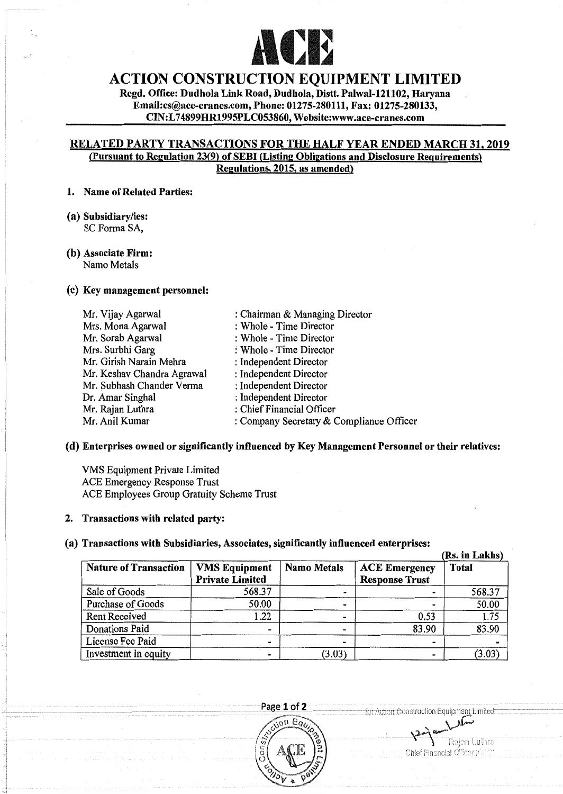

# ACTION CONSTRUCTION EQUIPMENT LIMITED

Regd, Office: Dudhola Link Road, Dudhola, Distt. Palwal-121102, Haryana Email:cs@ace-crancs.com, Phone: 01275-280111, Fax: 01275-280133, CIN:L 74899HR1995PLC053860, Websiteswww.ace-cranes.com

## RELATED PARTY TRANSACTIONS FOR THE HALF YEAR ENDED MARCH 31, 2019 (Pursuant to Regulation 23(9) of SEBI (Listing Obligations and Disclosure Requirements> Regulations, 2015, as amended)

#### 1. Name of Related Parties:

(a) Subsidiary/ies: SC Forma SA,

# (b) Associate Firm:

Namo Metals

### (c) Key management personnel:

: Chairman & Managing Director : Whole - Time Director : Whole - Time Director : Whole - Time Director : Independent Director : Independent Director : Independent Director : Independent Director : Chief Financial Officer : Company Secretary& Compliance Officer Mr. Vijay Agarwal Mrs. Mona Agarwal Mr. Sorab Agarwal Mrs. Surbhi Garg Mr. Girish Narain Mehra Mr. Keshav Chandra Agrawal Mr. Subhash Chander Verma Dr. Amar Singhal Mr. Rajan Luthra Mr. Anil Kumar

### (d) Enterprises owned or significantly influenced by Key Management Personnel or their relatives:

VMS Equipment Private Limited ACE Emergency Response Trust ACE Employees Group Gratuity Scheme Trust

### 2. Transactions with related party:

### (a) Transactions with Subsidiaries, Associates, significantly influenced enterprises:

|                              |                                                |                    |                                               | (Rs. in Lakhs) |
|------------------------------|------------------------------------------------|--------------------|-----------------------------------------------|----------------|
| <b>Nature of Transaction</b> | <b>VMS Equipment</b><br><b>Private Limited</b> | <b>Namo Metals</b> | <b>ACE Emergency</b><br><b>Response Trust</b> | <b>Total</b>   |
| Sale of Goods                | 568.37                                         |                    |                                               | 568.37         |
| Purchase of Goods            | 50.00                                          |                    |                                               | 50.00          |
| Rent Received                | 1.22                                           |                    | 0.53                                          | 1.75           |
| Donations Paid               | -                                              |                    | 83.90                                         | 83.90          |
| License Fee Paid             |                                                | -                  |                                               |                |
| Investment in equity         | -                                              | (3.03)             |                                               | (3.03)         |

 $-Paze 1 of 2$ 



for Action Construction Faulpment Limited

Raian Luthr Chief Financial Officer (CF